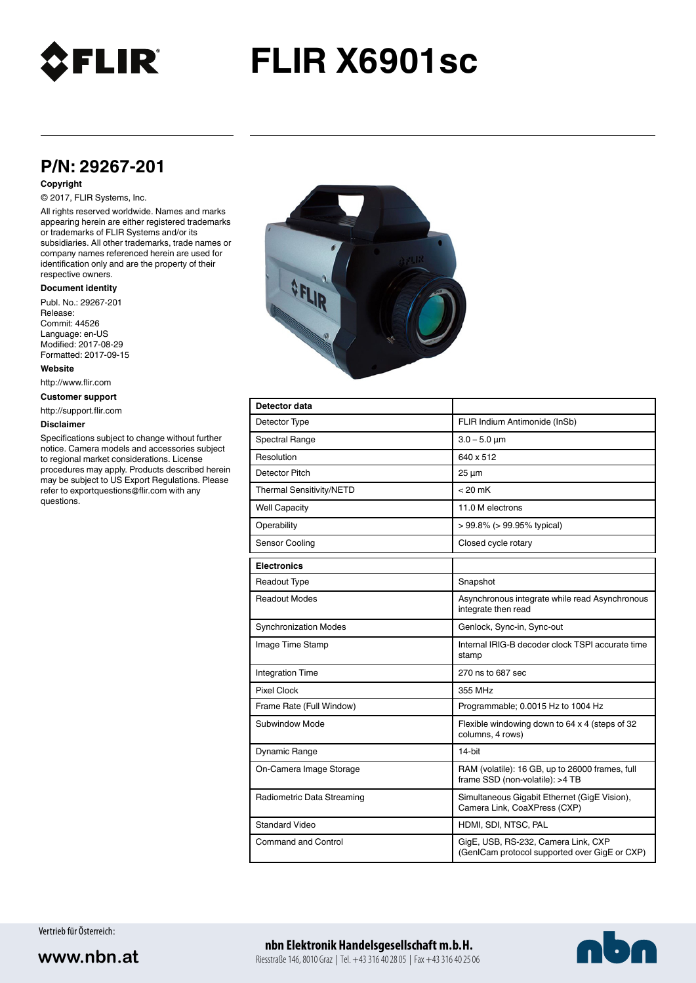

# **FLIR X6901sc**

## **P/N: 29267-201**

#### **Copyright**

### © 2017, FLIR Systems, Inc.

All rights reserved worldwide. Names and marks appearing herein are either registered trademarks or trademarks of FLIR Systems and/or its subsidiaries. All other trademarks, trade names or company names referenced herein are used for identification only and are the property of their respective owners.

#### **Document identity**

Publ. No.: 29267-201 Release: Commit: 44526 Language: en-US Modified: 2017-08-29 Formatted: 2017-09-15

**Website**

http://www.flir.com

**Customer support**

http://support.flir.com

#### **Disclaimer**

Specifications subject to change without further notice. Camera models and accessories subject to regional market considerations. License procedures may apply. Products described herein may be subject to US Export Regulations. Please refer to exportquestions@flir.com with any questions.



| Detector data                |                                                                                      |
|------------------------------|--------------------------------------------------------------------------------------|
| Detector Type                | FLIR Indium Antimonide (InSb)                                                        |
| <b>Spectral Range</b>        | $3.0 - 5.0 \mu m$                                                                    |
| Resolution                   | 640 x 512                                                                            |
| Detector Pitch               | $25 \mu m$                                                                           |
| Thermal Sensitivity/NETD     | $< 20$ mK                                                                            |
| <b>Well Capacity</b>         | 11.0 M electrons                                                                     |
| Operability                  | $> 99.8\%$ ( $> 99.95\%$ typical)                                                    |
| Sensor Cooling               | Closed cycle rotary                                                                  |
| <b>Electronics</b>           |                                                                                      |
| Readout Type                 | Snapshot                                                                             |
| Readout Modes                | Asynchronous integrate while read Asynchronous<br>integrate then read                |
| <b>Synchronization Modes</b> | Genlock, Sync-in, Sync-out                                                           |
| Image Time Stamp             | Internal IRIG-B decoder clock TSPI accurate time<br>stamp                            |
| <b>Integration Time</b>      | 270 ns to 687 sec                                                                    |
| <b>Pixel Clock</b>           | 355 MHz                                                                              |
| Frame Rate (Full Window)     | Programmable; 0.0015 Hz to 1004 Hz                                                   |
| Subwindow Mode               | Flexible windowing down to 64 x 4 (steps of 32<br>columns, 4 rows)                   |
| Dynamic Range                | 14-bit                                                                               |
| On-Camera Image Storage      | RAM (volatile): 16 GB, up to 26000 frames, full<br>frame SSD (non-volatile): >4 TB   |
| Radiometric Data Streaming   | Simultaneous Gigabit Ethernet (GigE Vision),<br>Camera Link, CoaXPress (CXP)         |
| <b>Standard Video</b>        | HDMI, SDI, NTSC, PAL                                                                 |
| Command and Control          | GigE, USB, RS-232, Camera Link, CXP<br>(GenICam protocol supported over GigE or CXP) |

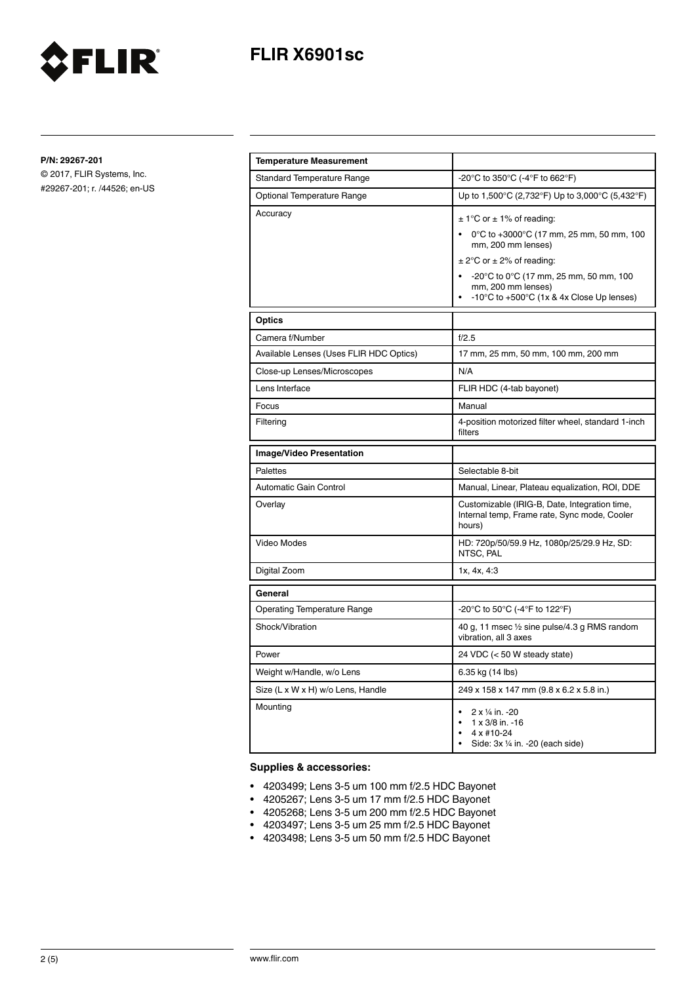

**P/N: 29267-201**

© 2017, FLIR Systems, Inc. #29267-201; r. /44526; en-US

FLIR®

| <b>Temperature Measurement</b>          |                                                                                                                                                                                                                                                                           |
|-----------------------------------------|---------------------------------------------------------------------------------------------------------------------------------------------------------------------------------------------------------------------------------------------------------------------------|
| <b>Standard Temperature Range</b>       | -20°C to 350°C (-4°F to 662°F)                                                                                                                                                                                                                                            |
| Optional Temperature Range              | Up to 1,500°C (2,732°F) Up to 3,000°C (5,432°F)                                                                                                                                                                                                                           |
| Accuracy                                | $\pm$ 1°C or $\pm$ 1% of reading:<br>0°C to +3000°C (17 mm, 25 mm, 50 mm, 100<br>mm, 200 mm lenses)<br>$\pm$ 2°C or $\pm$ 2% of reading:<br>-20°C to 0°C (17 mm, 25 mm, 50 mm, 100<br>mm, 200 mm lenses)<br>-10 $\degree$ C to +500 $\degree$ C (1x & 4x Close Up lenses) |
| Optics                                  |                                                                                                                                                                                                                                                                           |
| Camera f/Number                         | f/2.5                                                                                                                                                                                                                                                                     |
| Available Lenses (Uses FLIR HDC Optics) | 17 mm, 25 mm, 50 mm, 100 mm, 200 mm                                                                                                                                                                                                                                       |
| Close-up Lenses/Microscopes             | N/A                                                                                                                                                                                                                                                                       |
| Lens Interface                          | FLIR HDC (4-tab bayonet)                                                                                                                                                                                                                                                  |
| Focus                                   | Manual                                                                                                                                                                                                                                                                    |
| Filtering                               | 4-position motorized filter wheel, standard 1-inch<br>filters                                                                                                                                                                                                             |
| Image/Video Presentation                |                                                                                                                                                                                                                                                                           |
| Palettes                                | Selectable 8-bit                                                                                                                                                                                                                                                          |
| Automatic Gain Control                  | Manual, Linear, Plateau equalization, ROI, DDE                                                                                                                                                                                                                            |
| Overlay                                 | Customizable (IRIG-B, Date, Integration time,<br>Internal temp, Frame rate, Sync mode, Cooler<br>hours)                                                                                                                                                                   |
| Video Modes                             | HD: 720p/50/59.9 Hz, 1080p/25/29.9 Hz, SD:<br>NTSC, PAL                                                                                                                                                                                                                   |
| Digital Zoom                            | 1x, 4x, 4:3                                                                                                                                                                                                                                                               |
| General                                 |                                                                                                                                                                                                                                                                           |
| <b>Operating Temperature Range</b>      | -20°C to 50°C (-4°F to 122°F)                                                                                                                                                                                                                                             |
| Shock/Vibration                         | 40 g, 11 msec 1/2 sine pulse/4.3 g RMS random<br>vibration, all 3 axes                                                                                                                                                                                                    |
| Power                                   | 24 VDC (< 50 W steady state)                                                                                                                                                                                                                                              |
| Weight w/Handle, w/o Lens               | 6.35 kg (14 lbs)                                                                                                                                                                                                                                                          |
| Size (L x W x H) w/o Lens, Handle       | 249 x 158 x 147 mm (9.8 x 6.2 x 5.8 in.)                                                                                                                                                                                                                                  |
| Mounting                                | 2 x 1/4 in. -20<br>$\bullet$<br>1 x 3/8 in. -16<br>$4 \times #10-24$<br>Side: 3x 1/4 in. -20 (each side)                                                                                                                                                                  |

### **Supplies & accessories:**

- 4203499; Lens 3-5 um 100 mm f/2.5 HDC Bayonet
- 4205267; Lens 3-5 um 17 mm f/2.5 HDC Bayonet
- 4205268; Lens 3-5 um 200 mm f/2.5 HDC Bayonet
- 4203497; Lens 3-5 um 25 mm f/2.5 HDC Bayonet
- 4203498; Lens 3-5 um 50 mm f/2.5 HDC Bayonet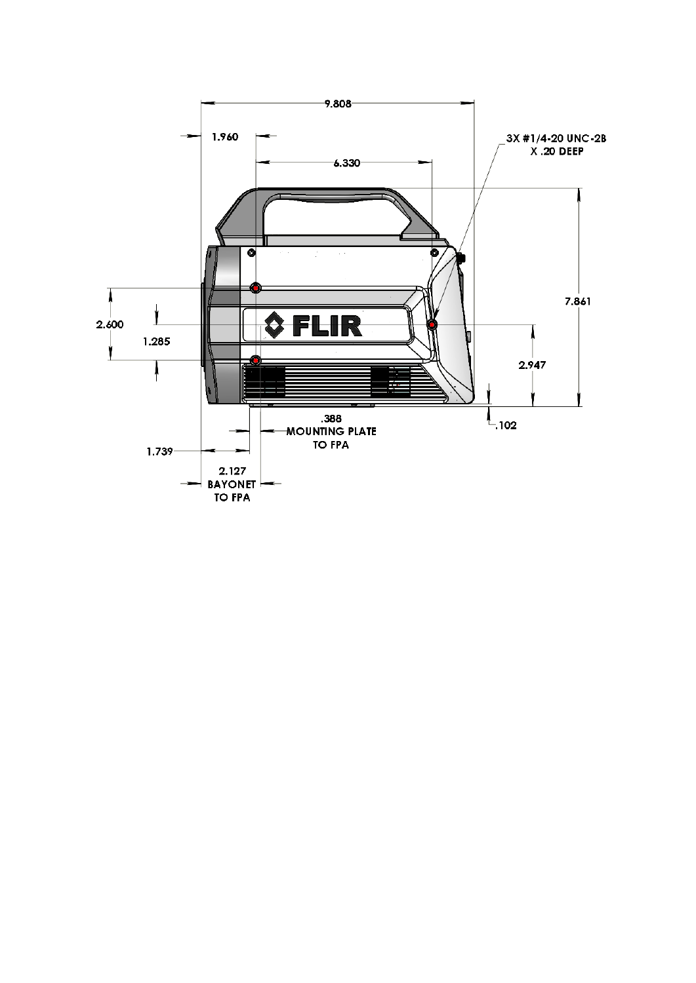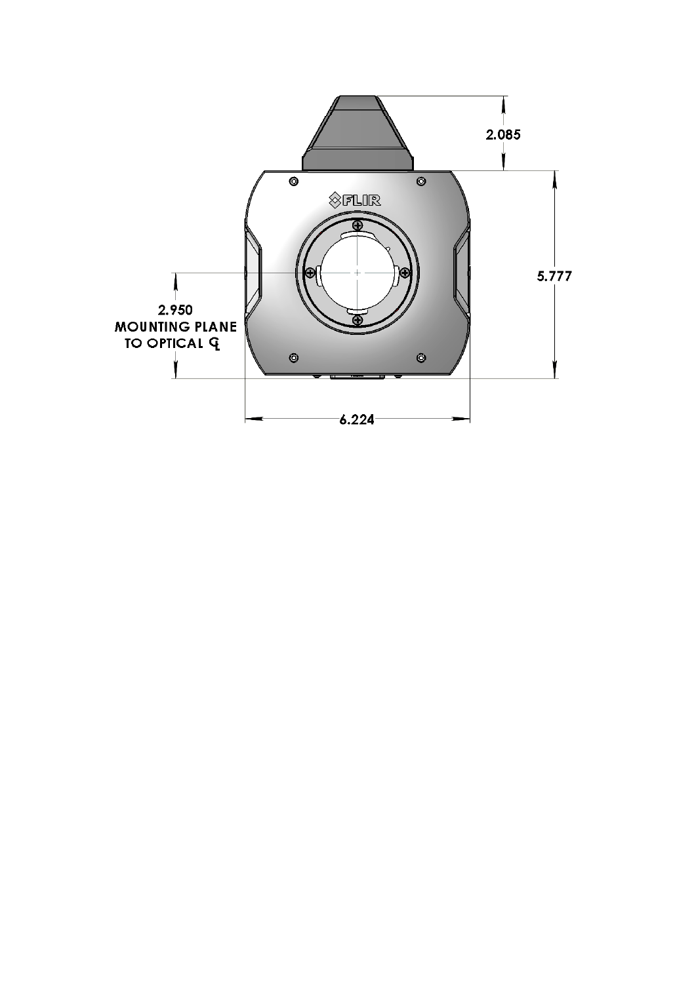